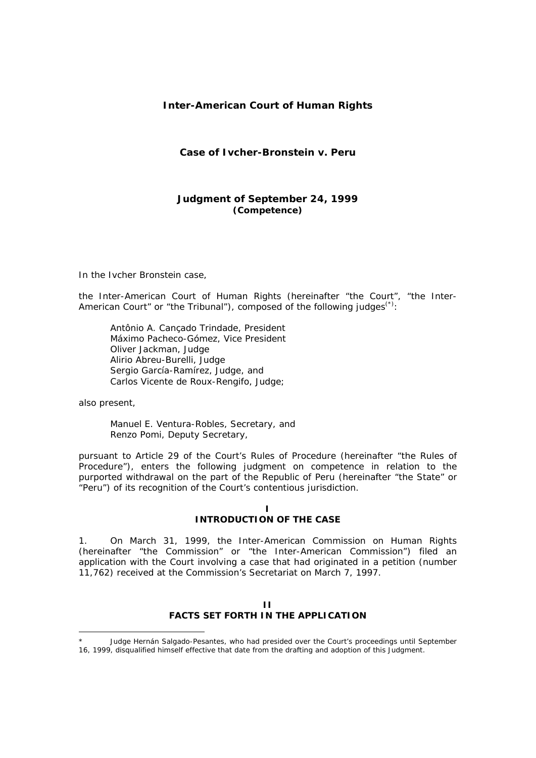# **Inter-American Court of Human Rights**

# **Case of Ivcher-Bronstein** *v.* **Peru**

# **Judgment of September 24, 1999**  *(Competence)*

In the Ivcher Bronstein case,

the Inter-American Court of Human Rights (hereinafter "the Court", "the Inter-American Court" or "the Tribunal"), composed of the following judges<sup>(\*)</sup>:

Antônio A. Cançado Trindade, President Máximo Pacheco-Gómez, Vice President Oliver Jackman, Judge Alirio Abreu-Burelli, Judge Sergio García-Ramírez, Judge, and Carlos Vicente de Roux-Rengifo, Judge;

also present,

Manuel E. Ventura-Robles, Secretary, and Renzo Pomi, Deputy Secretary,

pursuant to Article 29 of the Court's Rules of Procedure (hereinafter "the Rules of Procedure"), enters the following judgment on competence in relation to the purported withdrawal on the part of the Republic of Peru (hereinafter "the State" or "Peru") of its recognition of the Court's contentious jurisdiction.

## **I INTRODUCTION OF THE CASE**

1. On March 31, 1999, the Inter-American Commission on Human Rights (hereinafter "the Commission" or "the Inter-American Commission") filed an application with the Court involving a case that had originated in a petition (number 11,762) received at the Commission's Secretariat on March 7, 1997.

# **II FACTS SET FORTH IN THE APPLICATION**

 Judge Hernán Salgado-Pesantes, who had presided over the Court's proceedings until September 16, 1999, disqualified himself effective that date from the drafting and adoption of this Judgment.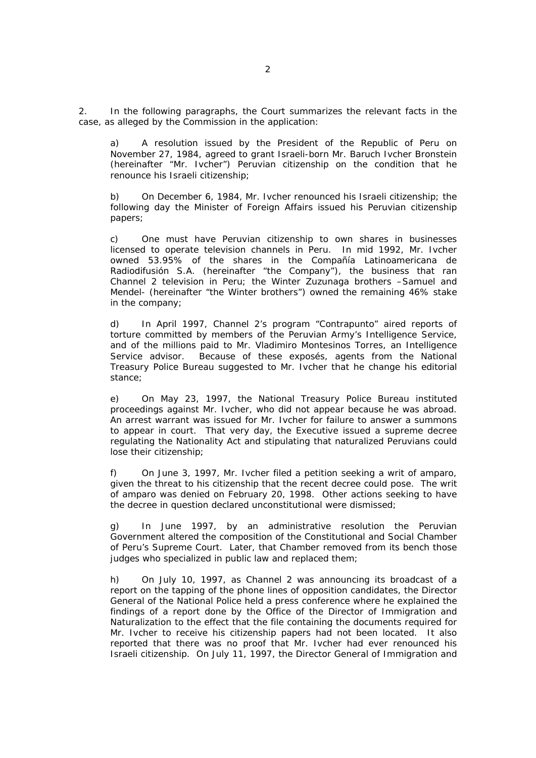2. In the following paragraphs, the Court summarizes the relevant facts in the case, as alleged by the Commission in the application:

a) A resolution issued by the President of the Republic of Peru on November 27, 1984, agreed to grant Israeli-born Mr. Baruch Ivcher Bronstein (hereinafter "Mr. Ivcher") Peruvian citizenship on the condition that he renounce his Israeli citizenship;

b) On December 6, 1984, Mr. Ivcher renounced his Israeli citizenship; the following day the Minister of Foreign Affairs issued his Peruvian citizenship papers;

c) One must have Peruvian citizenship to own shares in businesses licensed to operate television channels in Peru. In mid 1992, Mr. Ivcher owned 53.95% of the shares in the *Compañía Latinoamericana de Radiodifusión S.A.* (hereinafter "the Company"), the business that ran Channel 2 television in Peru; the Winter Zuzunaga brothers –Samuel and Mendel- (hereinafter "the Winter brothers") owned the remaining 46% stake in the company;

d) In April 1997, Channel 2's program "*Contrapunto*" aired reports of torture committed by members of the Peruvian Army's Intelligence Service, and of the millions paid to Mr. Vladimiro Montesinos Torres, an Intelligence Service advisor. Because of these exposés, agents from the National Treasury Police Bureau suggested to Mr. Ivcher that he change his editorial stance;

e) On May 23, 1997, the National Treasury Police Bureau instituted proceedings against Mr. Ivcher, who did not appear because he was abroad. An arrest warrant was issued for Mr. Ivcher for failure to answer a summons to appear in court. That very day, the Executive issued a supreme decree regulating the Nationality Act and stipulating that naturalized Peruvians could lose their citizenship;

f) On June 3, 1997, Mr. Ivcher filed a petition seeking a writ of amparo, given the threat to his citizenship that the recent decree could pose. The writ of amparo was denied on February 20, 1998. Other actions seeking to have the decree in question declared unconstitutional were dismissed;

g) In June 1997, by an administrative resolution the Peruvian Government altered the composition of the Constitutional and Social Chamber of Peru's Supreme Court. Later, that Chamber removed from its bench those judges who specialized in public law and replaced them;

h) On July 10, 1997, as Channel 2 was announcing its broadcast of a report on the tapping of the phone lines of opposition candidates, the Director General of the National Police held a press conference where he explained the findings of a report done by the Office of the Director of Immigration and Naturalization to the effect that the file containing the documents required for Mr. Ivcher to receive his citizenship papers had not been located. It also reported that there was no proof that Mr. Ivcher had ever renounced his Israeli citizenship. On July 11, 1997, the Director General of Immigration and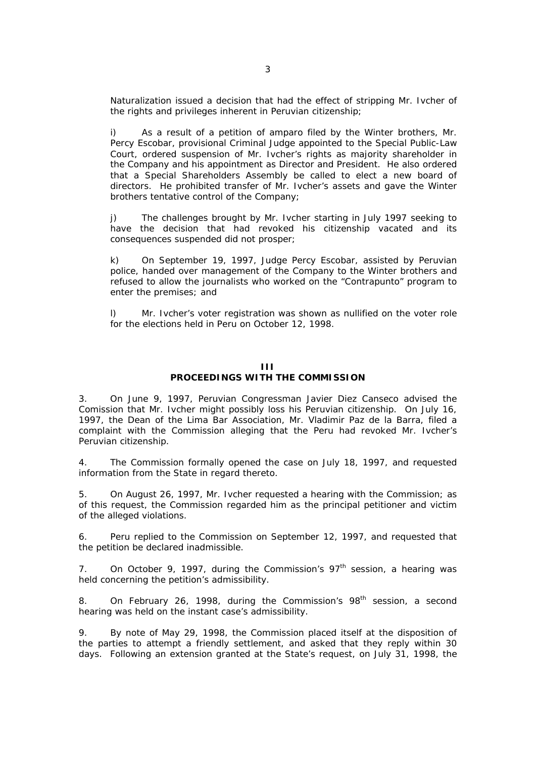Naturalization issued a decision that had the effect of stripping Mr. Ivcher of the rights and privileges inherent in Peruvian citizenship;

i) As a result of a petition of *amparo* filed by the Winter brothers, Mr. Percy Escobar, provisional Criminal Judge appointed to the Special Public-Law Court, ordered suspension of Mr. Ivcher's rights as majority shareholder in the Company and his appointment as Director and President. He also ordered that a Special Shareholders Assembly be called to elect a new board of directors. He prohibited transfer of Mr. Ivcher's assets and gave the Winter brothers tentative control of the Company;

j) The challenges brought by Mr. Ivcher starting in July 1997 seeking to have the decision that had revoked his citizenship vacated and its consequences suspended did not prosper;

On September 19, 1997, Judge Percy Escobar, assisted by Peruvian police, handed over management of the Company to the Winter brothers and refused to allow the journalists who worked on the "*Contrapunto*" program to enter the premises; and

l) Mr. Ivcher's voter registration was shown as nullified on the voter role for the elections held in Peru on October 12, 1998.

## **III PROCEEDINGS WITH THE COMMISSION**

3. On June 9, 1997, Peruvian Congressman Javier Diez Canseco advised the Comission that Mr. Ivcher might possibly loss his Peruvian citizenship. On July 16, 1997, the Dean of the Lima Bar Association, Mr. Vladimir Paz de la Barra, filed a complaint with the Commission alleging that the Peru had revoked Mr. Ivcher's Peruvian citizenship.

4. The Commission formally opened the case on July 18, 1997, and requested information from the State in regard thereto.

5. On August 26, 1997, Mr. Ivcher requested a hearing with the Commission; as of this request, the Commission regarded him as the principal petitioner and victim of the alleged violations.

6. Peru replied to the Commission on September 12, 1997, and requested that the petition be declared inadmissible.

7. On October 9, 1997, during the Commission's  $97<sup>th</sup>$  session, a hearing was held concerning the petition's admissibility.

8. On February 26, 1998, during the Commission's 98<sup>th</sup> session, a second hearing was held on the instant case's admissibility.

9. By note of May 29, 1998, the Commission placed itself at the disposition of the parties to attempt a friendly settlement, and asked that they reply within 30 days. Following an extension granted at the State's request, on July 31, 1998, the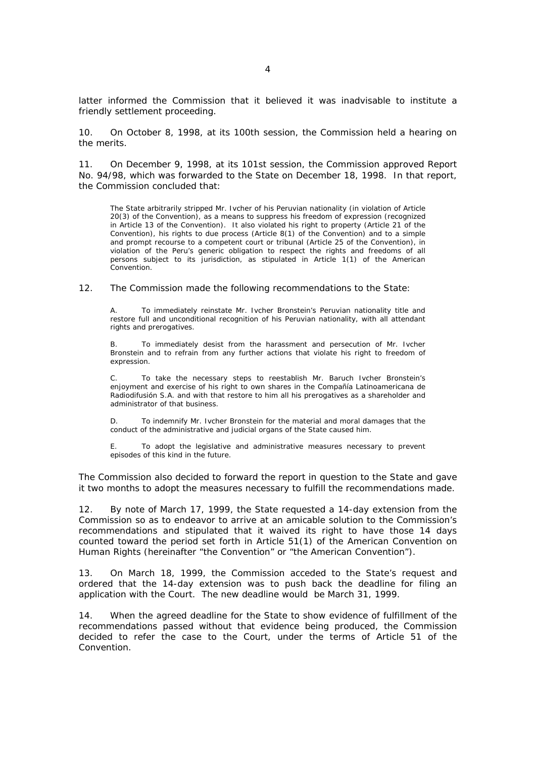latter informed the Commission that it believed it was inadvisable to institute a friendly settlement proceeding.

10. On October 8, 1998, at its 100th session, the Commission held a hearing on the merits.

11. On December 9, 1998, at its 101st session, the Commission approved Report No. 94/98, which was forwarded to the State on December 18, 1998. In that report, the Commission concluded that:

The State arbitrarily stripped Mr. Ivcher of his Peruvian nationality (in violation of Article 20(3) of the Convention), as a means to suppress his freedom of expression (recognized in Article 13 of the Convention). It also violated his right to property (Article 21 of the Convention), his rights to due process (Article 8(1) of the Convention) and to a simple and prompt recourse to a competent court or tribunal (Article 25 of the Convention), in violation of the Peru's generic obligation to respect the rights and freedoms of all persons subject to its jurisdiction, as stipulated in Article 1(1) of the American Convention.

12. The Commission made the following recommendations to the State:

To immediately reinstate Mr. Ivcher Bronstein's Peruvian nationality title and restore full and unconditional recognition of his Peruvian nationality, with all attendant rights and prerogatives.

B. To immediately desist from the harassment and persecution of Mr. Ivcher Bronstein and to refrain from any further actions that violate his right to freedom of expression.

C. To take the necessary steps to reestablish Mr. Baruch Ivcher Bronstein's enjoyment and exercise of his right to own shares in the *Compañía Latinoamericana de Radiodifusión S.A.* and with that restore to him all his prerogatives as a shareholder and administrator of that business.

D. To indemnify Mr. Ivcher Bronstein for the material and moral damages that the conduct of the administrative and judicial organs of the State caused him.

E. To adopt the legislative and administrative measures necessary to prevent episodes of this kind in the future.

The Commission also decided to forward the report in question to the State and gave it two months to adopt the measures necessary to fulfill the recommendations made.

12. By note of March 17, 1999, the State requested a 14-day extension from the Commission so as to endeavor to arrive at an amicable solution to the Commission's recommendations and stipulated that it waived its right to have those 14 days counted toward the period set forth in Article 51(1) of the American Convention on Human Rights (hereinafter "the Convention" or "the American Convention").

13. On March 18, 1999, the Commission acceded to the State's request and ordered that the 14-day extension was to push back the deadline for filing an application with the Court. The new deadline would be March 31, 1999.

14. When the agreed deadline for the State to show evidence of fulfillment of the recommendations passed without that evidence being produced, the Commission decided to refer the case to the Court, under the terms of Article 51 of the **Convention**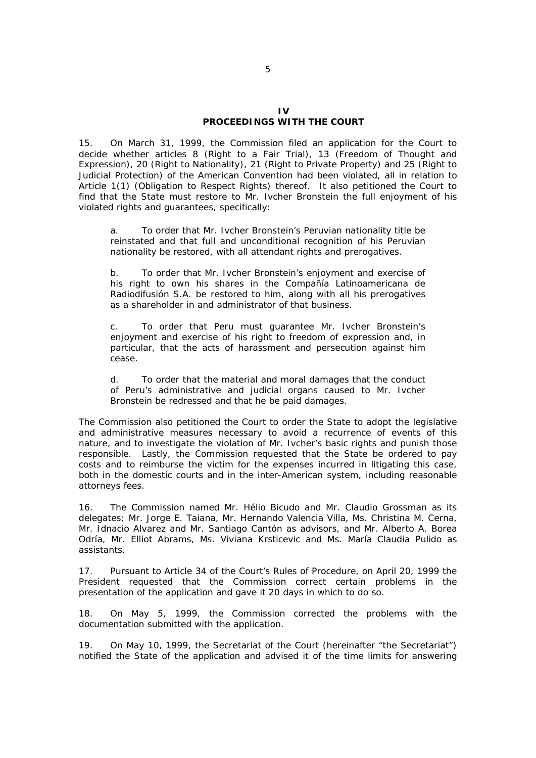#### $\mathbf{I}$ **PROCEEDINGS WITH THE COURT**

15. On March 31, 1999, the Commission filed an application for the Court to decide whether articles 8 (Right to a Fair Trial), 13 (Freedom of Thought and Expression), 20 (Right to Nationality), 21 (Right to Private Property) and 25 (Right to Judicial Protection) of the American Convention had been violated, all in relation to Article 1(1) (Obligation to Respect Rights) thereof. It also petitioned the Court to find that the State must restore to Mr. Ivcher Bronstein the full enjoyment of his violated rights and guarantees, specifically:

a. To order that Mr. Ivcher Bronstein's Peruvian nationality title be reinstated and that full and unconditional recognition of his Peruvian nationality be restored, with all attendant rights and prerogatives.

b. To order that Mr. Ivcher Bronstein's enjoyment and exercise of his right to own his shares in the *Compañía Latinoamericana de Radiodifusión S.A.* be restored to him, along with all his prerogatives as a shareholder in and administrator of that business.

c. To order that Peru must guarantee Mr. Ivcher Bronstein's enjoyment and exercise of his right to freedom of expression and, in particular, that the acts of harassment and persecution against him cease.

d. To order that the material and moral damages that the conduct of Peru's administrative and judicial organs caused to Mr. Ivcher Bronstein be redressed and that he be paid damages.

The Commission also petitioned the Court to order the State to adopt the legislative and administrative measures necessary to avoid a recurrence of events of this nature, and to investigate the violation of Mr. Ivcher's basic rights and punish those responsible. Lastly, the Commission requested that the State be ordered to pay costs and to reimburse the victim for the expenses incurred in litigating this case, both in the domestic courts and in the inter-American system, including reasonable attorneys fees.

16. The Commission named Mr. Hélio Bicudo and Mr. Claudio Grossman as its delegates; Mr. Jorge E. Taiana, Mr. Hernando Valencia Villa, Ms. Christina M. Cerna, Mr. Idnacio Alvarez and Mr. Santiago Cantón as advisors, and Mr. Alberto A. Borea Odría, Mr. Elliot Abrams, Ms. Viviana Krsticevic and Ms. María Claudia Pulido as assistants.

17. Pursuant to Article 34 of the Court's Rules of Procedure, on April 20, 1999 the President requested that the Commission correct certain problems in the presentation of the application and gave it 20 days in which to do so.

18. On May 5, 1999, the Commission corrected the problems with the documentation submitted with the application.

19. On May 10, 1999, the Secretariat of the Court (hereinafter "the Secretariat") notified the State of the application and advised it of the time limits for answering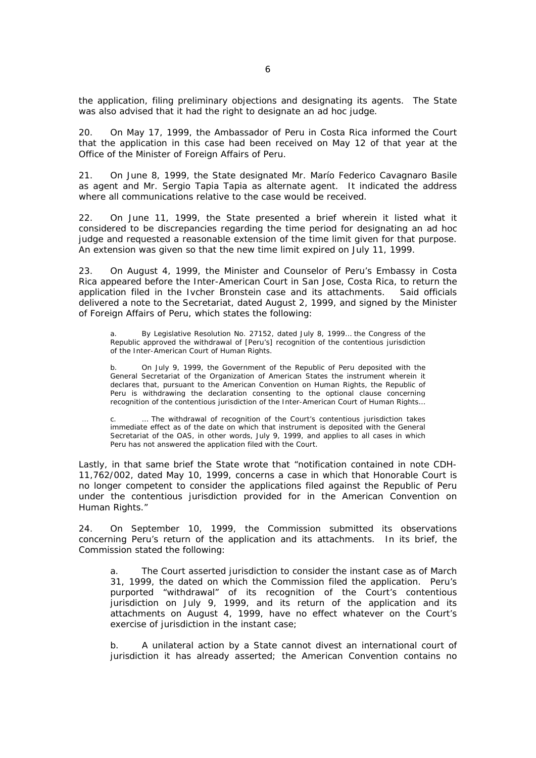the application, filing preliminary objections and designating its agents. The State was also advised that it had the right to designate an ad hoc judge*.*

20. On May 17, 1999, the Ambassador of Peru in Costa Rica informed the Court that the application in this case had been received on May 12 of that year at the Office of the Minister of Foreign Affairs of Peru.

21. On June 8, 1999, the State designated Mr. Marío Federico Cavagnaro Basile as agent and Mr. Sergio Tapia Tapia as alternate agent. It indicated the address where all communications relative to the case would be received.

22. On June 11, 1999, the State presented a brief wherein it listed what it considered to be discrepancies regarding the time period for designating an ad hoc judge and requested a reasonable extension of the time limit given for that purpose. An extension was given so that the new time limit expired on July 11, 1999.

23. On August 4, 1999, the Minister and Counselor of Peru's Embassy in Costa Rica appeared before the Inter-American Court in San Jose, Costa Rica, to return the application filed in the Ivcher Bronstein case and its attachments. Said officials delivered a note to the Secretariat, dated August 2, 1999, and signed by the Minister of Foreign Affairs of Peru, which states the following:

By Legislative Resolution No. 27152, dated July 8, 1999... the Congress of the Republic approved the withdrawal of [Peru's] recognition of the contentious jurisdiction of the Inter-American Court of Human Rights.

b. On July 9, 1999, the Government of the Republic of Peru deposited with the General Secretariat of the Organization of American States the instrument wherein it declares that, pursuant to the American Convention on Human Rights, the Republic of Peru is withdrawing the declaration consenting to the optional clause concerning recognition of the contentious jurisdiction of the Inter-American Court of Human Rights…

... The withdrawal of recognition of the Court's contentious jurisdiction takes immediate effect as of the date on which that instrument is deposited with the General Secretariat of the OAS, in other words, July 9, 1999, and applies to all cases in which Peru has not answered the application filed with the Court.

Lastly, in that same brief the State wrote that "*notification contained in note CDH-11,762/002, dated May 10, 1999, concerns a case in which that Honorable Court is no longer competent to consider the applications filed against the Republic of Peru under the contentious jurisdiction provided for in the American Convention on Human Rights."*

24. On September 10, 1999, the Commission submitted its observations concerning Peru's return of the application and its attachments. In its brief, the Commission stated the following:

a. The Court asserted jurisdiction to consider the instant case as of March 31, 1999, the dated on which the Commission filed the application. Peru's purported "withdrawal" of its recognition of the Court's contentious jurisdiction on July 9, 1999, and its return of the application and its attachments on August 4, 1999, have no effect whatever on the Court's exercise of jurisdiction in the instant case;

b. A unilateral action by a State cannot divest an international court of jurisdiction it has already asserted; the American Convention contains no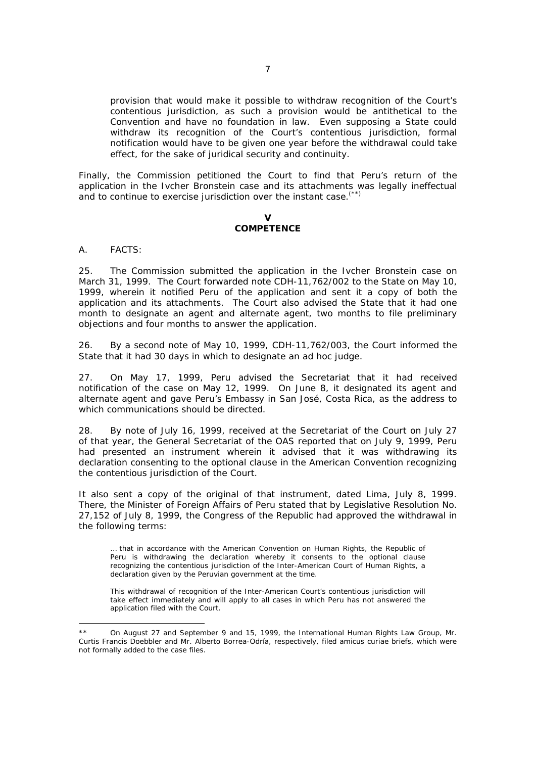provision that would make it possible to withdraw recognition of the Court's contentious jurisdiction, as such a provision would be antithetical to the Convention and have no foundation in law. Even supposing a State could withdraw its recognition of the Court's contentious jurisdiction, formal notification would have to be given one year before the withdrawal could take effect, for the sake of juridical security and continuity.

Finally, the Commission petitioned the Court to find that Peru's return of the application in the Ivcher Bronstein case and its attachments was legally ineffectual and to continue to exercise jurisdiction over the instant case.<sup>(\*\*)</sup>

#### **V COMPETENCE**

A. FACTS:

 $\overline{a}$ 

25. The Commission submitted the application in the Ivcher Bronstein case on March 31, 1999. The Court forwarded note CDH-11,762/002 to the State on May 10, 1999, wherein it notified Peru of the application and sent it a copy of both the application and its attachments. The Court also advised the State that it had one month to designate an agent and alternate agent, two months to file preliminary objections and four months to answer the application.

26. By a second note of May 10, 1999, CDH-11,762/003, the Court informed the State that it had 30 days in which to designate an *ad hoc* judge.

27. On May 17, 1999, Peru advised the Secretariat that it had received notification of the case on May 12, 1999. On June 8, it designated its agent and alternate agent and gave Peru's Embassy in San José, Costa Rica, as the address to which communications should be directed.

28. By note of July 16, 1999, received at the Secretariat of the Court on July 27 of that year, the General Secretariat of the OAS reported that on July 9, 1999, Peru had presented an instrument wherein it advised that it was withdrawing its declaration consenting to the optional clause in the American Convention recognizing the contentious jurisdiction of the Court.

It also sent a copy of the original of that instrument, dated Lima, July 8, 1999. There, the Minister of Foreign Affairs of Peru stated that by Legislative Resolution No. 27,152 of July 8, 1999, the Congress of the Republic had approved the withdrawal in the following terms:

… that in accordance with the American Convention on Human Rights, the Republic of Peru is withdrawing the declaration whereby it consents to the optional clause recognizing the contentious jurisdiction of the Inter-American Court of Human Rights, a declaration given by the Peruvian government at the time.

This withdrawal of recognition of the Inter-American Court's contentious jurisdiction will take effect immediately and will apply to all cases in which Peru has not answered the application filed with the Court.

On August 27 and September 9 and 15, 1999, the International Human Rights Law Group, Mr. Curtis Francis Doebbler and Mr. Alberto Borrea-Odría, respectively, filed *amicus curiae* briefs, which were not formally added to the case files.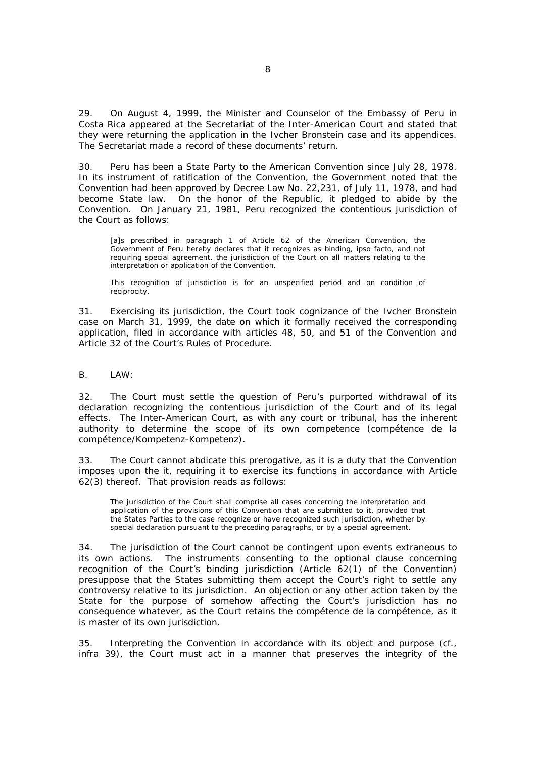29. On August 4, 1999, the Minister and Counselor of the Embassy of Peru in Costa Rica appeared at the Secretariat of the Inter-American Court and stated that they were returning the application in the Ivcher Bronstein case and its appendices. The Secretariat made a record of these documents' return.

30. Peru has been a State Party to the American Convention since July 28, 1978. In its instrument of ratification of the Convention, the Government noted that the Convention had been approved by Decree Law No. 22,231, of July 11, 1978, and had become State law. On the honor of the Republic, it pledged to abide by the Convention. On January 21, 1981, Peru recognized the contentious jurisdiction of the Court as follows:

[a]s prescribed in paragraph 1 of Article 62 of the American Convention, the Government of Peru hereby declares that it recognizes as binding, *ipso facto*, and not requiring special agreement, the jurisdiction of the Court on all matters relating to the interpretation or application of the Convention.

This recognition of jurisdiction is for an unspecified period and on condition of reciprocity.

31. Exercising its jurisdiction, the Court took cognizance of the Ivcher Bronstein case on March 31, 1999, the date on which it formally received the corresponding application, filed in accordance with articles 48, 50, and 51 of the Convention and Article 32 of the Court's Rules of Procedure.

B. LAW:

32. The Court must settle the question of Peru's purported withdrawal of its declaration recognizing the contentious jurisdiction of the Court and of its legal effects. The Inter-American Court, as with any court or tribunal, has the inherent authority to determine the scope of its own competence (*compétence de la compétence/Kompetenz-Kompetenz*).

33. The Court cannot abdicate this prerogative, as it is a duty that the Convention imposes upon the it, requiring it to exercise its functions in accordance with Article 62(3) thereof. That provision reads as follows:

The jurisdiction of the Court shall comprise all cases concerning the interpretation and application of the provisions of this Convention that are submitted to it, provided that the States Parties to the case recognize or have recognized such jurisdiction, whether by special declaration pursuant to the preceding paragraphs, or by a special agreement.

34. The jurisdiction of the Court cannot be contingent upon events extraneous to its own actions. The instruments consenting to the optional clause concerning recognition of the Court's binding jurisdiction (Article 62(1) of the Convention) presuppose that the States submitting them accept the Court's right to settle any controversy relative to its jurisdiction. An objection or any other action taken by the State for the purpose of somehow affecting the Court's jurisdiction has no consequence whatever, as the Court retains the *compétence de la compétence*, as it is master of its own jurisdiction.

35. Interpreting the Convention in accordance with its object and purpose (cf., *infra* 39), the Court must act in a manner that preserves the integrity of the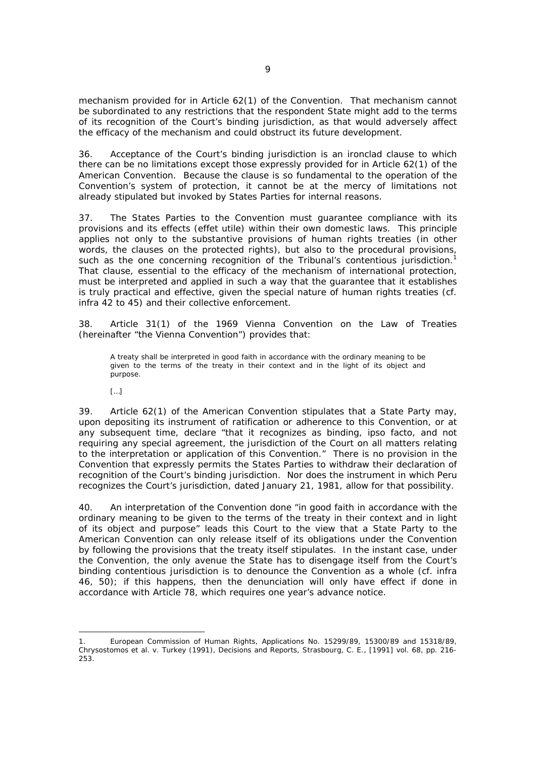mechanism provided for in Article 62(1) of the Convention. That mechanism cannot be subordinated to any restrictions that the respondent State might add to the terms of its recognition of the Court's binding jurisdiction, as that would adversely affect the efficacy of the mechanism and could obstruct its future development.

36. Acceptance of the Court's binding jurisdiction is an ironclad clause to which there can be no limitations except those expressly provided for in Article 62(1) of the American Convention. Because the clause is so fundamental to the operation of the Convention's system of protection, it cannot be at the mercy of limitations not already stipulated but invoked by States Parties for internal reasons.

37. The States Parties to the Convention must guarantee compliance with its provisions and its effects (*effet utile*) within their own domestic laws. This principle applies not only to the substantive provisions of human rights treaties (in other words, the clauses on the protected rights), but also to the procedural provisions, such as the one concerning recognition of the Tribunal's contentious jurisdiction.<sup>1</sup> That clause, essential to the efficacy of the mechanism of international protection, must be interpreted and applied in such a way that the guarantee that it establishes is truly practical and effective, given the special nature of human rights treaties (*cf. infra* 42 to 45) and their collective enforcement.

38. Article 31(1) of the 1969 Vienna Convention on the Law of Treaties (hereinafter "the Vienna Convention") provides that:

A treaty shall be interpreted in good faith in accordance with the ordinary meaning to be given to the terms of the treaty in their context and in the light of its object and purpose.

 $[...]$ 

39. Article 62(1) of the American Convention stipulates that a State Party may, upon depositing its instrument of ratification or adherence to this Convention, or at any subsequent time, declare "that it recognizes as binding, *ipso facto*, and not requiring any special agreement, the jurisdiction of the Court on all matters relating to the interpretation or application of this Convention." There is no provision in the Convention that expressly permits the States Parties to withdraw their declaration of recognition of the Court's binding jurisdiction. Nor does the instrument in which Peru recognizes the Court's jurisdiction, dated January 21, 1981, allow for that possibility.

40. An interpretation of the Convention done "in good faith in accordance with the ordinary meaning to be given to the terms of the treaty in their context and in light of its object and purpose" leads this Court to the view that a State Party to the American Convention can only release itself of its obligations under the Convention by following the provisions that the treaty itself stipulates. In the instant case, under the Convention, the only avenue the State has to disengage itself from the Court's binding contentious jurisdiction is to denounce the Convention as a whole (*cf. infra* 46, 50); if this happens, then the denunciation will only have effect if done in accordance with Article 78, which requires one year's advance notice.

 1. European Commission of Human Rights, Applications No. 15299/89, 15300/89 and 15318/89, *Chrysostomos et al. v. Turkey* (1991), *Decisions and Reports,* Strasbourg, C. E., [1991] vol. 68, pp. 216- 253.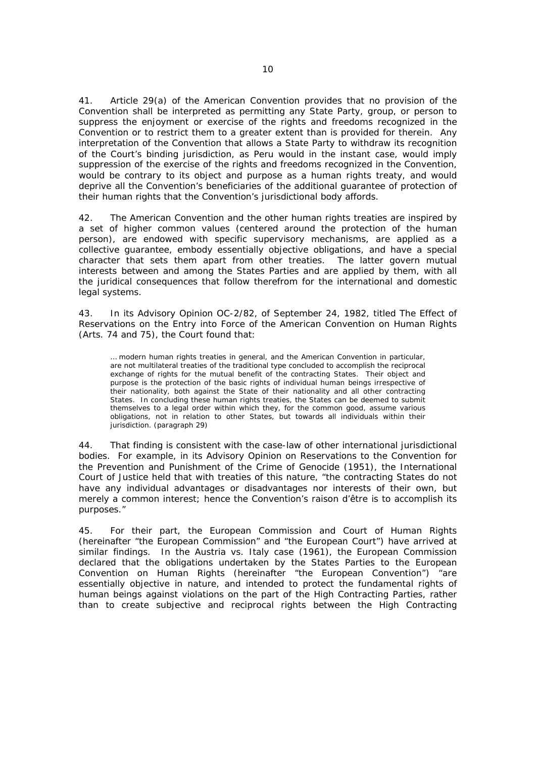41. Article 29(a) of the American Convention provides that no provision of the Convention shall be interpreted as permitting any State Party, group, or person to suppress the enjoyment or exercise of the rights and freedoms recognized in the Convention or to restrict them to a greater extent than is provided for therein. Any interpretation of the Convention that allows a State Party to withdraw its recognition of the Court's binding jurisdiction, as Peru would in the instant case, would imply suppression of the exercise of the rights and freedoms recognized in the Convention, would be contrary to its object and purpose as a human rights treaty, and would deprive all the Convention's beneficiaries of the additional guarantee of protection of their human rights that the Convention's jurisdictional body affords.

42. The American Convention and the other human rights treaties are inspired by a set of higher common values (centered around the protection of the human person), are endowed with specific supervisory mechanisms, are applied as a collective guarantee, embody essentially objective obligations, and have a special character that sets them apart from other treaties. The latter govern mutual interests between and among the States Parties and are applied by them, with all the juridical consequences that follow therefrom for the international and domestic legal systems.

43. In its Advisory Opinion OC-2/82, of September 24, 1982, titled *The Effect of Reservations on the Entry into Force of the American Convention on Human Rights (Arts. 74 and 75)*, the Court found that:

… modern human rights treaties in general, and the American Convention in particular, are not multilateral treaties of the traditional type concluded to accomplish the reciprocal exchange of rights for the mutual benefit of the contracting States. Their object and purpose is the protection of the basic rights of individual human beings irrespective of their nationality, both against the State of their nationality and all other contracting States. In concluding these human rights treaties, the States can be deemed to submit themselves to a legal order within which they, for the common good, assume various obligations, not in relation to other States, but towards all individuals within their jurisdiction. (paragraph 29)

44. That finding is consistent with the case-law of other international jurisdictional bodies. For example, in its Advisory Opinion on *Reservations to the Convention for the Prevention and Punishment of the Crime of Genocide* (1951), the International Court of Justice held that with treaties of this nature, "the contracting States do not have any individual advantages or disadvantages nor interests of their own, but merely a common interest; hence the Convention's raison d'être is to accomplish its purposes."

45. For their part, the European Commission and Court of Human Rights (hereinafter "the European Commission" and "the European Court") have arrived at similar findings. In the *Austria vs. Italy* case (1961), the European Commission declared that the obligations undertaken by the States Parties to the European Convention on Human Rights (hereinafter "the European Convention") "are essentially objective in nature, and intended to protect the fundamental rights of human beings against violations on the part of the High Contracting Parties, rather than to create subjective and reciprocal rights between the High Contracting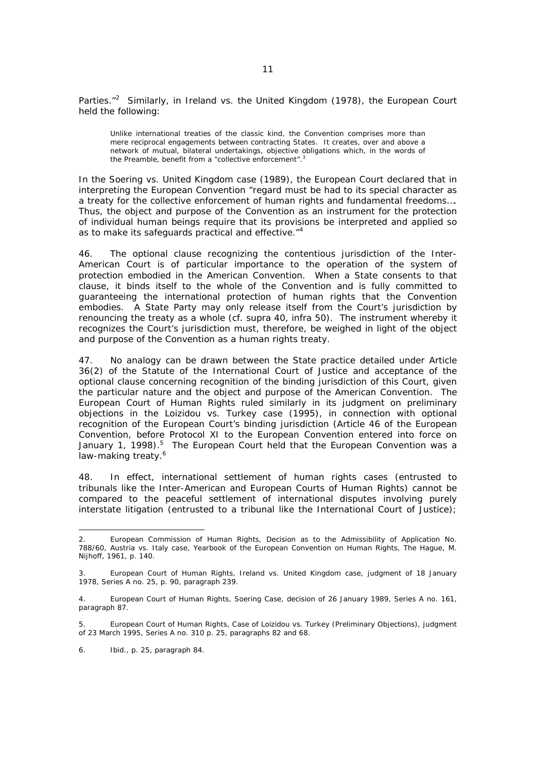Parties."<sup>2</sup> Similarly, in *Ireland vs. the United Kingdom* (1978), the European Court held the following:

Unlike international treaties of the classic kind, the Convention comprises more than mere reciprocal engagements between contracting States. It creates, over and above a network of mutual, bilateral undertakings, objective obligations which, in the words of the Preamble, benefit from a "collective enforcement".<sup>3</sup>

In the *Soering vs. United Kingdom* case (1989), the European Court declared that in interpreting the European Convention "regard must be had to its special character as a treaty for the collective enforcement of human rights and fundamental freedoms…. Thus, the object and purpose of the Convention as an instrument for the protection of individual human beings require that its provisions be interpreted and applied so as to make its safeguards practical and effective."<sup>4</sup>

46. The optional clause recognizing the contentious jurisdiction of the Inter-American Court is of particular importance to the operation of the system of protection embodied in the American Convention. When a State consents to that clause, it binds itself to the whole of the Convention and is fully committed to guaranteeing the international protection of human rights that the Convention embodies. A State Party may only release itself from the Court's jurisdiction by renouncing the treaty as a whole (*cf. supra* 40, *infra* 50). The instrument whereby it recognizes the Court's jurisdiction must, therefore, be weighed in light of the object and purpose of the Convention as a human rights treaty.

47. No analogy can be drawn between the State practice detailed under Article 36(2) of the Statute of the International Court of Justice and acceptance of the optional clause concerning recognition of the binding jurisdiction of this Court, given the particular nature and the object and purpose of the American Convention. The European Court of Human Rights ruled similarly in its judgment on preliminary objections in the *Loizidou vs. Turkey* case (1995), in connection with optional recognition of the European Court's binding jurisdiction (Article 46 of the European Convention, before Protocol XI to the European Convention entered into force on January 1, 1998).<sup>5</sup> The European Court held that the European Convention was a law-making treaty.<sup>6</sup>

48. In effect, international settlement of human rights cases (entrusted to tribunals like the Inter-American and European Courts of Human Rights) cannot be compared to the peaceful settlement of international disputes involving purely interstate litigation (entrusted to a tribunal like the International Court of Justice);

6. *Ibid.,* p. 25, paragraph 84.

<sup>2.</sup> European Commission of Human Rights, Decision as to the Admissibility of Application No. 788/60, *Austria vs. Italy case*, *Yearbook of the European Convention on Human Rights,* The Hague, M. Nijhoff, 1961, p. 140.

<sup>3.</sup> European Court of Human Rights, *Ireland vs. United Kingdom* case, judgment of 18 January 1978, Series A no. 25, p. 90, paragraph 239.

<sup>4.</sup> European Court of Human Rights, *Soering Case*, decision of 26 January 1989, Series A no. 161, paragraph 87.

<sup>5.</sup> European Court of Human Rights, *Case of Loizidou vs. Turkey* (Preliminary Objections), judgment of 23 March 1995, Series A no. 310 p. 25, paragraphs 82 and 68.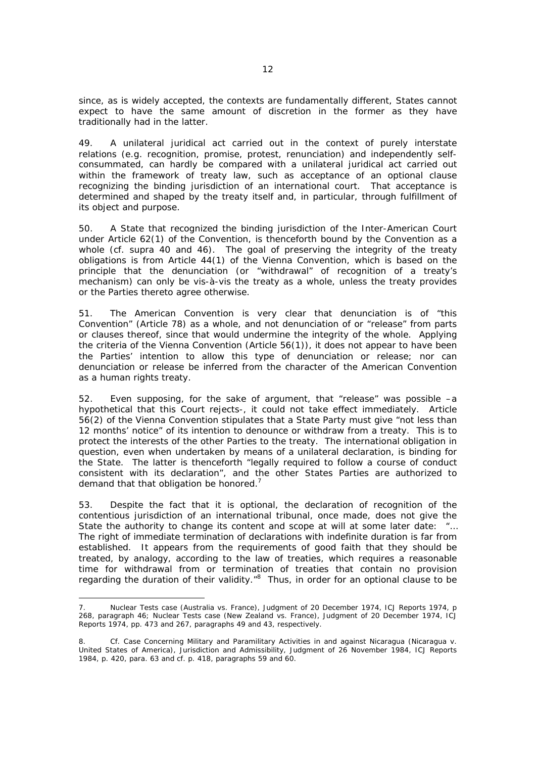since, as is widely accepted, the contexts are fundamentally different, States cannot expect to have the same amount of discretion in the former as they have traditionally had in the latter.

49. A unilateral juridical act carried out in the context of purely interstate relations (e.g. recognition, promise, protest, renunciation) and independently selfconsummated, can hardly be compared with a unilateral juridical act carried out within the framework of treaty law, such as acceptance of an optional clause recognizing the binding jurisdiction of an international court. That acceptance is determined and shaped by the treaty itself and, in particular, through fulfillment of its object and purpose.

50. A State that recognized the binding jurisdiction of the Inter-American Court under Article 62(1) of the Convention, is thenceforth bound by the Convention as a whole (*cf. supra* 40 and 46). The goal of preserving the integrity of the treaty obligations is from Article 44(1) of the Vienna Convention, which is based on the principle that the denunciation (or "withdrawal" of recognition of a treaty's mechanism) can only be vis-à-vis the treaty as a whole, unless the treaty provides or the Parties thereto agree otherwise.

51. The American Convention is very clear that denunciation is of "this Convention" (Article 78) as a whole, and not denunciation of or "release" from parts or clauses thereof, since that would undermine the integrity of the whole. Applying the criteria of the Vienna Convention (Article 56(1)), it does not appear to have been the Parties' intention to allow this type of denunciation or release; nor can denunciation or release be inferred from the character of the American Convention as a human rights treaty.

52. Even supposing, for the sake of argument, that "release" was possible –a hypothetical that this Court rejects-, it could not take effect immediately. Article 56(2) of the Vienna Convention stipulates that a State Party must give "not less than 12 months' notice" of its intention to denounce or withdraw from a treaty. This is to protect the interests of the other Parties to the treaty. The international obligation in question, even when undertaken by means of a unilateral declaration, is binding for the State. The latter is thenceforth "legally required to follow a course of conduct consistent with its declaration", and the other States Parties are authorized to demand that that obligation be honored.<sup>7</sup>

53. Despite the fact that it is optional, the declaration of recognition of the contentious jurisdiction of an international tribunal, once made, does not give the State the authority to change its content and scope at will at some later date: "... The right of immediate termination of declarations with indefinite duration is far from established. It appears from the requirements of good faith that they should be treated, by analogy, according to the law of treaties, which requires a reasonable time for withdrawal from or termination of treaties that contain no provision regarding the duration of their validity."<sup>8</sup> Thus, in order for an optional clause to be

<sup>7.</sup> *Nuclear Tests* case (Australia vs. France), Judgment of 20 December 1974, *ICJ Reports* 1974, p 268, paragraph 46; *Nuclear Tests* case (New Zealand vs. France), Judgment of 20 December 1974, *ICJ Reports* 1974, pp. 473 and 267, paragraphs 49 and 43, respectively.

<sup>8.</sup> *Cf. Case Concerning Military and Paramilitary Activities in and against Nicaragua (Nicaragua v. United States of America), Jurisdiction and Admissibility*, Judgment of 26 November 1984, *ICJ Reports* 1984, p. 420, para. 63 and *cf.* p. 418, paragraphs 59 and 60.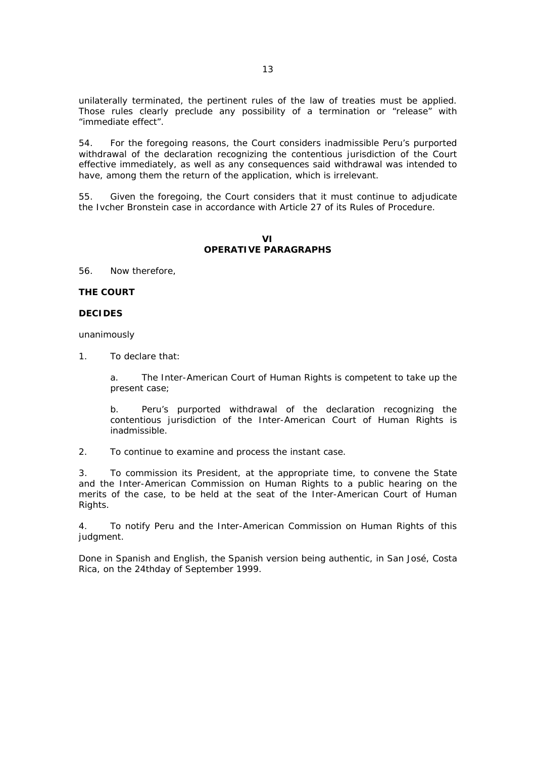unilaterally terminated, the pertinent rules of the law of treaties must be applied. Those rules clearly preclude any possibility of a termination or "release" with "immediate effect".

54. For the foregoing reasons, the Court considers inadmissible Peru's purported withdrawal of the declaration recognizing the contentious jurisdiction of the Court effective immediately, as well as any consequences said withdrawal was intended to have, among them the return of the application, which is irrelevant.

55. Given the foregoing, the Court considers that it must continue to adjudicate the Ivcher Bronstein case in accordance with Article 27 of its Rules of Procedure.

## **VI OPERATIVE PARAGRAPHS**

56. Now therefore,

### **THE COURT**

### **DECIDES**

unanimously

1. To declare that:

a. The Inter-American Court of Human Rights is competent to take up the present case;

b. Peru's purported withdrawal of the declaration recognizing the contentious jurisdiction of the Inter-American Court of Human Rights is inadmissible.

2. To continue to examine and process the instant case.

3. To commission its President, at the appropriate time, to convene the State and the Inter-American Commission on Human Rights to a public hearing on the merits of the case, to be held at the seat of the Inter-American Court of Human Rights.

4. To notify Peru and the Inter-American Commission on Human Rights of this judgment.

Done in Spanish and English, the Spanish version being authentic, in San José, Costa Rica, on the 24thday of September 1999.